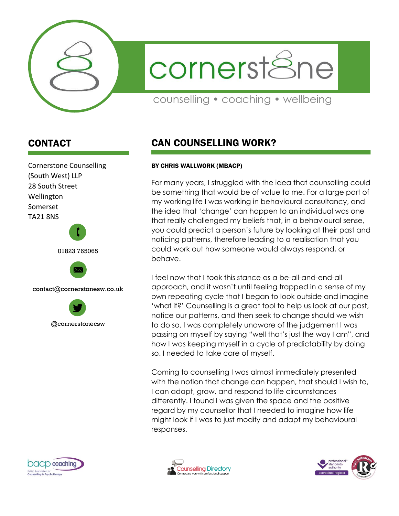

cornerstSne

counselling • coaching • wellbeing

## CONTACT



## CAN COUNSELLING WORK?

## BY CHRIS WALLWORK (MBACP)

For many years, I struggled with the idea that counselling could be something that would be of value to me. For a large part of my working life I was working in behavioural consultancy, and the idea that 'change' can happen to an individual was one that really challenged my beliefs that, in a behavioural sense, you could predict a person's future by looking at their past and noticing patterns, therefore leading to a realisation that you could work out how someone would always respond, or behave.

I feel now that I took this stance as a be-all-and-end-all approach, and it wasn't until feeling trapped in a sense of my own repeating cycle that I began to look outside and imagine 'what if?' Counselling is a great tool to help us look at our past, notice our patterns, and then seek to change should we wish to do so. I was completely unaware of the judgement I was passing on myself by saying "well that's just the way I am", and how I was keeping myself in a cycle of predictability by doing so. I needed to take care of myself.

Coming to counselling I was almost immediately presented with the notion that change can happen, that should I wish to, I can adapt, grow, and respond to life circumstances differently. I found I was given the space and the positive regard by my counsellor that I needed to imagine how life might look if I was to just modify and adapt my behavioural responses.